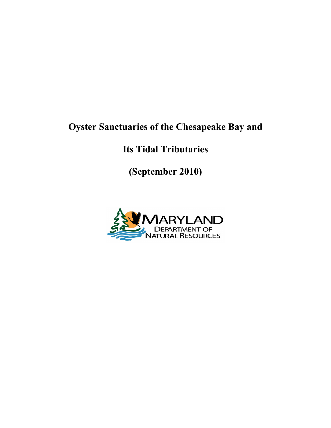# **Oyster Sanctuaries of the Chesapeake Bay and**

# **Its Tidal Tributaries**

**(September 2010)**

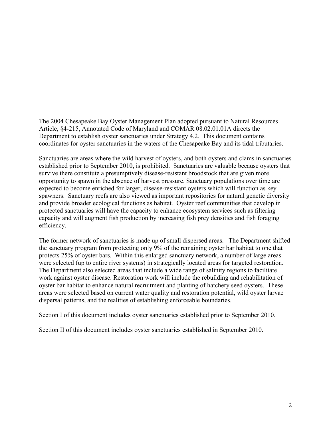The 2004 Chesapeake Bay Oyster Management Plan adopted pursuant to Natural Resources Article, §4-215, Annotated Code of Maryland and COMAR 08.02.01.01A directs the Department to establish oyster sanctuaries under Strategy 4.2. This document contains coordinates for oyster sanctuaries in the waters of the Chesapeake Bay and its tidal tributaries.

Sanctuaries are areas where the wild harvest of oysters, and both oysters and clams in sanctuaries established prior to September 2010, is prohibited. Sanctuaries are valuable because oysters that survive there constitute a presumptively disease-resistant broodstock that are given more opportunity to spawn in the absence of harvest pressure. Sanctuary populations over time are expected to become enriched for larger, disease-resistant oysters which will function as key spawners. Sanctuary reefs are also viewed as important repositories for natural genetic diversity and provide broader ecological functions as habitat. Oyster reef communities that develop in protected sanctuaries will have the capacity to enhance ecosystem services such as filtering capacity and will augment fish production by increasing fish prey densities and fish foraging efficiency.

The former network of sanctuaries is made up of small dispersed areas. The Department shifted the sanctuary program from protecting only 9% of the remaining oyster bar habitat to one that protects 25% of oyster bars. Within this enlarged sanctuary network, a number of large areas were selected (up to entire river systems) in strategically located areas for targeted restoration. The Department also selected areas that include a wide range of salinity regions to facilitate work against oyster disease. Restoration work will include the rebuilding and rehabilitation of oyster bar habitat to enhance natural recruitment and planting of hatchery seed oysters. These areas were selected based on current water quality and restoration potential, wild oyster larvae dispersal patterns, and the realities of establishing enforceable boundaries.

Section I of this document includes oyster sanctuaries established prior to September 2010.

Section II of this document includes oyster sanctuaries established in September 2010.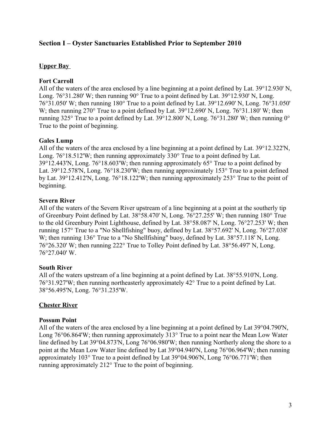# **Section I – Oyster Sanctuaries Established Prior to September 2010**

# **Upper Bay**

# **Fort Carroll**

All of the waters of the area enclosed by a line beginning at a point defined by Lat. 39°12.930' N, Long. 76°31.280' W; then running 90° True to a point defined by Lat. 39°12.930' N, Long. 76°31.050' W; then running 180° True to a point defined by Lat. 39°12.690' N, Long. 76°31.050' W; then running 270° True to a point defined by Lat. 39°12.690' N, Long. 76°31.180' W; then running 325° True to a point defined by Lat. 39°12.800' N, Long. 76°31.280' W; then running 0° True to the point of beginning.

# **Gales Lump**

All of the waters of the area enclosed by a line beginning at a point defined by Lat. 39°12.322'N, Long. 76°18.512'W; then running approximately 330° True to a point defined by Lat. 39°12.443'N, Long. 76°18.603'W; then running approximately 65° True to a point defined by Lat. 39°12.578'N, Long. 76°18.230'W; then running approximately 153° True to a point defined by Lat. 39°12.412'N, Long. 76°18.122'W; then running approximately 253° True to the point of beginning.

# **Severn River**

All of the waters of the Severn River upstream of a line beginning at a point at the southerly tip of Greenbury Point defined by Lat. 38°58.470' N, Long. 76°27.255' W; then running 180° True to the old Greenbury Point Lighthouse, defined by Lat. 38°58.087' N, Long. 76°27.253' W; then running 157° True to a "No Shellfishing" buoy, defined by Lat. 38°57.692' N, Long. 76°27.038' W; then running 136° True to a "No Shellfishing" buoy, defined by Lat. 38°57.118' N, Long. 76°26.320' W; then running 222° True to Tolley Point defined by Lat. 38°56.497' N, Long. 76°27.040' W.

# **South River**

All of the waters upstream of a line beginning at a point defined by Lat. 38°55.910'N, Long. 76°31.927'W; then running northeasterly approximately 42° True to a point defined by Lat. 38°56.495'N, Long. 76°31.235'W.

# **Chester River**

# **Possum Point**

All of the waters of the area enclosed by a line beginning at a point defined by Lat 39°04.790'N, Long 76°06.864'W; then running approximately 313° True to a point near the Mean Low Water line defined by Lat 39°04.873'N, Long 76°06.980'W; then running Northerly along the shore to a point at the Mean Low Water line defined by Lat 39°04.940'N, Long 76°06.964'W; then running approximately 103° True to a point defined by Lat 39°04.906'N, Long 76°06.771'W; then running approximately 212° True to the point of beginning.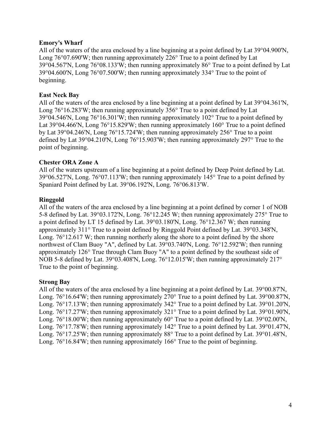## **Emory's Wharf**

All of the waters of the area enclosed by a line beginning at a point defined by Lat 39°04.900'N, Long 76°07.690'W; then running approximately 226° True to a point defined by Lat 39°04.567'N, Long 76°08.133'W; then running approximately 86° True to a point defined by Lat 39°04.600'N, Long 76°07.500'W; then running approximately 334° True to the point of beginning.

## **East Neck Bay**

All of the waters of the area enclosed by a line beginning at a point defined by Lat 39°04.361'N, Long 76°16.283'W; then running approximately 356° True to a point defined by Lat 39°04.546'N, Long 76°16.301'W; then running approximately 102° True to a point defined by Lat 39°04.466'N, Long 76°15.829'W; then running approximately 160° True to a point defined by Lat 39°04.246'N, Long 76°15.724'W; then running approximately 256° True to a point defined by Lat 39°04.210'N, Long 76°15.903'W; then running approximately 297° True to the point of beginning.

## **Chester ORA Zone A**

All of the waters upstream of a line beginning at a point defined by Deep Point defined by Lat. 39°06.527'N, Long. 76°07.113'W; then running approximately 145° True to a point defined by Spaniard Point defined by Lat. 39°06.192'N, Long. 76°06.813'W.

## **Ringgold**

All of the waters of the area enclosed by a line beginning at a point defined by corner 1 of NOB 5-8 defined by Lat. 39°03.172'N, Long. 76°12.245 W; then running approximately 275° True to a point defined by LT 15 defined by Lat. 39°03.180'N, Long. 76°12.367 W; then running approximately 311° True to a point defined by Ringgold Point defined by Lat. 39°03.348'N, Long. 76°12.617 W; then running northerly along the shore to a point defined by the shore northwest of Clam Buoy "A", defined by Lat. 39°03.740'N, Long. 76°12.592'W; then running approximately 126° True through Clam Buoy "A" to a point defined by the southeast side of NOB 5-8 defined by Lat. 39°03.408'N, Long. 76°12.015'W; then running approximately 217° True to the point of beginning.

#### **Strong Bay**

All of the waters of the area enclosed by a line beginning at a point defined by Lat. 39°00.87'N, Long. 76°16.64'W; then running approximately 270° True to a point defined by Lat. 39°00.87'N, Long. 76°17.13'W; then running approximately 342° True to a point defined by Lat. 39°01.20'N, Long. 76°17.27'W; then running approximately 321° True to a point defined by Lat. 39°01.90'N, Long. 76°18.00'W; then running approximately 60° True to a point defined by Lat. 39°02.00'N, Long. 76°17.78'W; then running approximately 142° True to a point defined by Lat. 39°01.47'N, Long. 76°17.25'W; then running approximately 88° True to a point defined by Lat. 39°01.48'N, Long. 76°16.84'W; then running approximately 166° True to the point of beginning.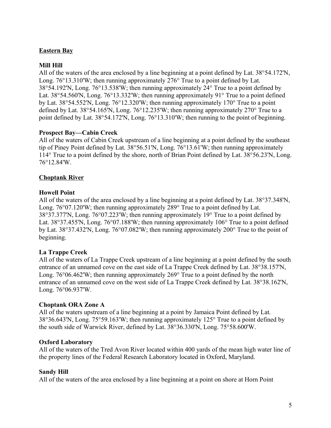# **Eastern Bay**

# **Mill Hill**

All of the waters of the area enclosed by a line beginning at a point defined by Lat. 38°54.172'N, Long. 76°13.310'W; then running approximately 276° True to a point defined by Lat. 38°54.192'N, Long. 76°13.538'W; then running approximately 24° True to a point defined by Lat. 38°54.560'N, Long. 76°13.332'W; then running approximately 91° True to a point defined by Lat. 38°54.552'N, Long. 76°12.320'W; then running approximately 170° True to a point defined by Lat. 38°54.165'N, Long. 76°12.235'W; then running approximately 270° True to a point defined by Lat. 38°54.172'N, Long. 76°13.310'W; then running to the point of beginning.

## **Prospect Bay—Cabin Creek**

All of the waters of Cabin Creek upstream of a line beginning at a point defined by the southeast tip of Piney Point defined by Lat. 38°56.51'N, Long. 76°13.61'W; then running approximately 114° True to a point defined by the shore, north of Brian Point defined by Lat. 38°56.23'N, Long. 76°12.84'W.

## **Choptank River**

## **Howell Point**

All of the waters of the area enclosed by a line beginning at a point defined by Lat. 38°37.348'N, Long. 76°07.120'W; then running approximately 289° True to a point defined by Lat. 38°37.377'N, Long. 76°07.223'W; then running approximately 19° True to a point defined by Lat. 38°37.455'N, Long. 76°07.188'W; then running approximately 106° True to a point defined by Lat. 38°37.432'N, Long. 76°07.082'W; then running approximately 200° True to the point of beginning.

#### **La Trappe Creek**

All of the waters of La Trappe Creek upstream of a line beginning at a point defined by the south entrance of an unnamed cove on the east side of La Trappe Creek defined by Lat. 38°38.157'N, Long. 76°06.462'W; then running approximately 269° True to a point defined by the north entrance of an unnamed cove on the west side of La Trappe Creek defined by Lat. 38°38.162'N, Long. 76°06.937'W.

#### **Choptank ORA Zone A**

All of the waters upstream of a line beginning at a point by Jamaica Point defined by Lat. 38°36.643'N, Long. 75°59.163'W; then running approximately 125° True to a point defined by the south side of Warwick River, defined by Lat. 38°36.330'N, Long. 75°58.600'W.

#### **Oxford Laboratory**

All of the waters of the Tred Avon River located within 400 yards of the mean high water line of the property lines of the Federal Research Laboratory located in Oxford, Maryland.

#### **Sandy Hill**

All of the waters of the area enclosed by a line beginning at a point on shore at Horn Point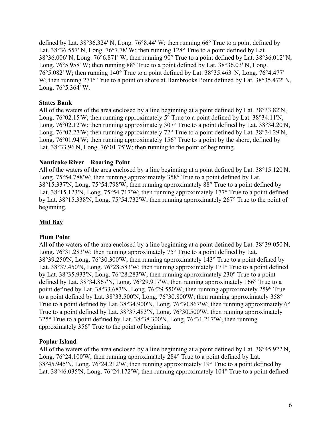defined by Lat. 38°36.324' N, Long. 76°8.44' W; then running 66° True to a point defined by Lat. 38°36.557' N, Long. 76°7.78' W; then running 128° True to a point defined by Lat. 38°36.006' N, Long. 76°6.871' W; then running 90° True to a point defined by Lat. 38°36.012' N, Long. 76°5.958' W; then running 88° True to a point defined by Lat. 38°36.03' N, Long. 76°5.082' W; then running 140° True to a point defined by Lat. 38°35.463' N, Long. 76°4.477' W; then running 271° True to a point on shore at Hambrooks Point defined by Lat. 38°35.472' N, Long. 76°5.364' W.

# **States Bank**

All of the waters of the area enclosed by a line beginning at a point defined by Lat. 38°33.82'N, Long. 76°02.15'W; then running approximately 5° True to a point defined by Lat. 38°34.11'N, Long. 76°02.12'W; then running approximately 307° True to a point defined by Lat. 38°34.20'N, Long. 76°02.27'W; then running approximately 72° True to a point defined by Lat. 38°34.29'N, Long. 76°01.94'W; then running approximately 156° True to a point by the shore, defined by Lat. 38°33.96'N, Long. 76°01.75'W; then running to the point of beginning.

# **Nanticoke River—Roaring Point**

All of the waters of the area enclosed by a line beginning at a point defined by Lat. 38°15.120'N, Long. 75°54.788'W; then running approximately 358° True to a point defined by Lat. 38°15.337'N, Long. 75°54.798'W; then running approximately 88° True to a point defined by Lat. 38°15.123'N, Long. 75°54.717'W; then running approximately 177° True to a point defined by Lat. 38°15.338'N, Long. 75°54.732'W; then running approximately 267° True to the point of beginning.

# **Mid Bay**

# **Plum Point**

All of the waters of the area enclosed by a line beginning at a point defined by Lat. 38°39.050'N, Long. 76°31.283'W; then running approximately 75° True to a point defined by Lat. 38°39.250'N, Long. 76°30.300'W; then running approximately 143° True to a point defined by Lat. 38°37.450'N, Long. 76°28.583'W; then running approximately 171° True to a point defined by Lat. 38°35.933'N, Long. 76°28.283'W; then running approximately 230° True to a point defined by Lat. 38°34.867'N, Long. 76°29.917'W; then running approximately 166° True to a point defined by Lat. 38°33.683'N, Long. 76°29.550'W; then running approximately 259° True to a point defined by Lat. 38°33.500'N, Long. 76°30.800'W; then running approximately 358° True to a point defined by Lat. 38°34.900'N, Long. 76°30.867'W; then running approximately 6° True to a point defined by Lat. 38°37.483'N, Long. 76°30.500'W; then running approximately 325° True to a point defined by Lat. 38°38.300'N, Long. 76°31.217'W; then running approximately 356° True to the point of beginning.

# **Poplar Island**

All of the waters of the area enclosed by a line beginning at a point defined by Lat. 38°45.922'N, Long. 76°24.100'W; then running approximately 284° True to a point defined by Lat. 38°45.945'N, Long. 76°24.212'W; then running approximately 19° True to a point defined by Lat. 38°46.035'N, Long. 76°24.172'W; then running approximately 104° True to a point defined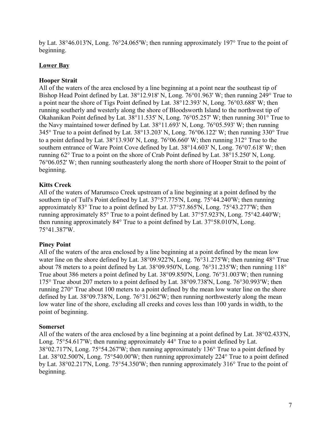by Lat. 38°46.013'N, Long. 76°24.065'W; then running approximately 197° True to the point of beginning.

# **Lower Bay**

# **Hooper Strait**

All of the waters of the area enclosed by a line beginning at a point near the southeast tip of Bishop Head Point defined by Lat. 38°12.918' N, Long. 76°01.963' W; then running 249° True to a point near the shore of Tigs Point defined by Lat. 38°12.393' N, Long. 76°03.688' W; then running southerly and westerly along the shore of Bloodsworth Island to the northwest tip of Okahanikan Point defined by Lat. 38°11.535' N, Long. 76°05.257' W; then running 301° True to the Navy maintained tower defined by Lat. 38°11.693' N, Long. 76°05.593' W; then running 345° True to a point defined by Lat. 38°13.203' N, Long. 76°06.122' W; then running 330° True to a point defined by Lat. 38°13.930' N, Long. 76°06.660' W; then running 312° True to the southern entrance of Ware Point Cove defined by Lat. 38°14.603' N, Long. 76°07.618' W; then running 62° True to a point on the shore of Crab Point defined by Lat. 38°15.250' N, Long. 76°06.052' W; then running southeasterly along the north shore of Hooper Strait to the point of beginning.

# **Kitts Creek**

All of the waters of Marumsco Creek upstream of a line beginning at a point defined by the southern tip of Tull's Point defined by Lat. 37°57.775'N, Long. 75°44.240'W; then running approximately 83° True to a point defined by Lat. 37°57.865'N, Long. 75°43.277'W; then running approximately 85° True to a point defined by Lat. 37°57.923'N, Long. 75°42.440'W; then running approximately 84° True to a point defined by Lat. 37°58.010'N, Long. 75°41.387'W.

# **Piney Point**

All of the waters of the area enclosed by a line beginning at a point defined by the mean low water line on the shore defined by Lat. 38°09.922'N, Long. 76°31.275'W; then running 48° True about 78 meters to a point defined by Lat. 38°09.950'N, Long. 76°31.235'W; then running 118° True about 386 meters a point defined by Lat. 38°09.850'N, Long. 76°31.003'W; then running 175° True about 207 meters to a point defined by Lat. 38°09.738'N, Long. 76°30.993'W; then running 270° True about 100 meters to a point defined by the mean low water line on the shore defined by Lat. 38°09.738'N, Long. 76°31.062'W; then running northwesterly along the mean low water line of the shore, excluding all creeks and coves less than 100 yards in width, to the point of beginning.

# **Somerset**

All of the waters of the area enclosed by a line beginning at a point defined by Lat. 38°02.433'N, Long. 75°54.617'W; then running approximately 44° True to a point defined by Lat. 38°02.717'N, Long. 75°54.267'W; then running approximately 136° True to a point defined by Lat. 38°02.500'N, Long. 75°540.00'W; then running approximately 224° True to a point defined by Lat. 38°02.217'N, Long. 75°54.350'W; then running approximately 316° True to the point of beginning.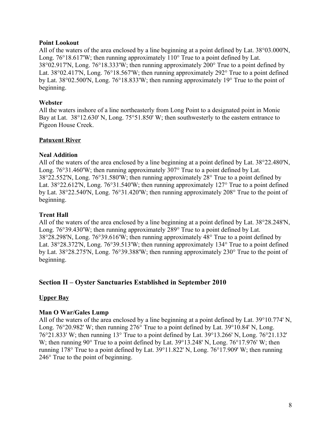## **Point Lookout**

All of the waters of the area enclosed by a line beginning at a point defined by Lat. 38°03.000'N, Long. 76°18.617'W; then running approximately 110° True to a point defined by Lat. 38°02.917'N, Long. 76°18.333'W; then running approximately 200° True to a point defined by Lat. 38°02.417'N, Long. 76°18.567'W; then running approximately 292° True to a point defined by Lat. 38°02.500'N, Long. 76°18.833'W; then running approximately 19° True to the point of beginning.

## **Webster**

All the waters inshore of a line northeasterly from Long Point to a designated point in Monie Bay at Lat. 38°12.630' N, Long. 75°51.850' W; then southwesterly to the eastern entrance to Pigeon House Creek.

# **Patuxent River**

## **Neal Addition**

All of the waters of the area enclosed by a line beginning at a point defined by Lat. 38°22.480'N, Long. 76°31.460'W; then running approximately 307° True to a point defined by Lat. 38°22.552'N, Long. 76°31.580'W; then running approximately 28° True to a point defined by Lat. 38°22.612'N, Long. 76°31.540'W; then running approximately 127° True to a point defined by Lat. 38°22.540'N, Long. 76°31.420'W; then running approximately 208° True to the point of beginning.

#### **Trent Hall**

All of the waters of the area enclosed by a line beginning at a point defined by Lat. 38°28.248'N, Long. 76°39.430'W; then running approximately 289° True to a point defined by Lat. 38°28.298'N, Long. 76°39.616'W; then running approximately 48° True to a point defined by Lat. 38°28.372'N, Long. 76°39.513'W; then running approximately 134° True to a point defined by Lat. 38°28.275'N, Long. 76°39.388'W; then running approximately 230° True to the point of beginning.

# **Section II – Oyster Sanctuaries Established in September 2010**

#### **Upper Bay**

#### **Man O War/Gales Lump**

All of the waters of the area enclosed by a line beginning at a point defined by Lat. 39°10.774' N, Long. 76°20.982' W; then running 276° True to a point defined by Lat. 39°10.84' N, Long. 76°21.833' W; then running 13° True to a point defined by Lat. 39°13.266' N, Long. 76°21.132' W; then running 90° True to a point defined by Lat. 39°13.248' N, Long. 76°17.976' W; then running 178° True to a point defined by Lat. 39°11.822' N, Long. 76°17.909' W; then running 246° True to the point of beginning.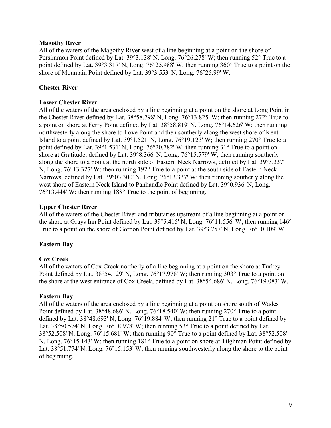## **Magothy River**

All of the waters of the Magothy River west of a line beginning at a point on the shore of Persimmon Point defined by Lat. 39°3.138' N, Long. 76°26.278' W; then running 52° True to a point defined by Lat. 39°3.317' N, Long. 76°25.988' W; then running 360° True to a point on the shore of Mountain Point defined by Lat. 39°3.553' N, Long. 76°25.99' W.

# **Chester River**

## **Lower Chester River**

All of the waters of the area enclosed by a line beginning at a point on the shore at Long Point in the Chester River defined by Lat. 38°58.798' N, Long. 76°13.825' W; then running 272° True to a point on shore at Ferry Point defined by Lat. 38°58.819' N, Long. 76°14.626' W; then running northwesterly along the shore to Love Point and then southerly along the west shore of Kent Island to a point defined by Lat. 39°1.521' N, Long. 76°19.123' W; then running 270° True to a point defined by Lat. 39°1.531' N, Long. 76°20.782' W; then running 31° True to a point on shore at Gratitude, defined by Lat. 39°8.366' N, Long. 76°15.579' W; then running southerly along the shore to a point at the north side of Eastern Neck Narrows, defined by Lat. 39°3.337' N, Long. 76°13.327' W; then running 192° True to a point at the south side of Eastern Neck Narrows, defined by Lat. 39°03.300' N, Long. 76°13.337' W; then running southerly along the west shore of Eastern Neck Island to Panhandle Point defined by Lat. 39°0.936' N, Long. 76°13.444' W; then running 188° True to the point of beginning.

## **Upper Chester River**

All of the waters of the Chester River and tributaries upstream of a line beginning at a point on the shore at Grays Inn Point defined by Lat. 39°5.415' N, Long. 76°11.556' W; then running 146° True to a point on the shore of Gordon Point defined by Lat. 39°3.757' N, Long. 76°10.109' W.

# **Eastern Bay**

# **Cox Creek**

All of the waters of Cox Creek northerly of a line beginning at a point on the shore at Turkey Point defined by Lat. 38°54.129' N, Long. 76°17.978' W; then running 303° True to a point on the shore at the west entrance of Cox Creek, defined by Lat. 38°54.686' N, Long. 76°19.083' W.

#### **Eastern Bay**

All of the waters of the area enclosed by a line beginning at a point on shore south of Wades Point defined by Lat. 38°48.686' N, Long. 76°18.540' W; then running 270° True to a point defined by Lat. 38°48.693' N, Long. 76°19.884' W; then running 21° True to a point defined by Lat. 38°50.574' N, Long. 76°18.978' W; then running 53° True to a point defined by Lat. 38°52.508' N, Long. 76°15.681' W; then running 90° True to a point defined by Lat. 38°52.508' N, Long. 76°15.143' W; then running 181° True to a point on shore at Tilghman Point defined by Lat. 38°51.774' N, Long. 76°15.153' W; then running southwesterly along the shore to the point of beginning.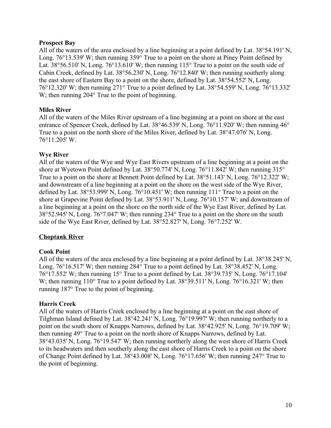## **Prospect Bay**

All of the waters of the area enclosed by a line beginning at a point defined by Lat. 38°54.191' N, Long. 76°13.539' W; then running 359° True to a point on the shore at Piney Point defined by Lat. 38°56.510' N, Long. 76°13.610' W; then running 115° True to a point on the south side of Cabin Creek, defined by Lat. 38°56.230' N, Long. 76°12.840' W; then running southerly along the east shore of Eastern Bay to a point on the shore, defined by Lat. 38°54.552' N, Long. 76°12.320' W; then running 271° True to a point defined by Lat. 38°54.559' N, Long. 76°13.332' W; then running 204 $\degree$  True to the point of beginning.

## **Miles River**

All of the waters of the Miles River upstream of a line beginning at a point on shore at the east entrance of Spencer Creek, defined by Lat. 38°46.539' N, Long. 76°11.920' W; then running 46° True to a point on the north shore of the Miles River, defined by Lat. 38°47.076' N, Long. 76°11.205' W.

## **Wye River**

All of the waters of the Wye and Wye East Rivers upstream of a line beginning at a point on the shore at Wyetown Point defined by Lat. 38°50.774' N, Long. 76°11.842' W; then running 315° True to a point on the shore at Bennett Point defined by Lat. 38°51.143' N, Long. 76°12.322' W; and downstream of a line beginning at a point on the shore on the west side of the Wye River, defined by Lat. 38°53.999' N, Long. 76°10.451' W; then running 111° True to a point on the shore at Grapevine Point defined by Lat. 38°53.911' N, Long. 76°10.157' W; and downstream of a line beginning at a point on the shore on the north side of the Wye East River, defined by Lat. 38°52.945' N, Long. 76°7.047' W; then running 234° True to a point on the shore on the south side of the Wye East River, defined by Lat. 38°52.827' N, Long. 76°7.252' W.

# **Choptank River**

# **Cook Point**

All of the waters of the area enclosed by a line beginning at a point defined by Lat. 38°38.245' N, Long. 76°16.517' W; then running 284° True to a point defined by Lat. 38°38.452' N, Long. 76°17.552' W; then running 15° True to a point defined by Lat. 38°39.735' N, Long. 76°17.104' W; then running 110° True to a point defined by Lat. 38°39.511' N, Long. 76°16.321' W; then running 187° True to the point of beginning.

#### **Harris Creek**

All of the waters of Harris Creek enclosed by a line beginning at a point on the east shore of Tilghman Island defined by Lat. 38°42.241' N, Long. 76°19.997' W; then running northerly to a point on the south shore of Knapps Narrows, defined by Lat. 38°42.925' N, Long. 76°19.709' W; then running 49° True to a point on the north shore of Knapps Narrows, defined by Lat. 38°43.035' N, Long. 76°19.547' W; then running northerly along the west shore of Harris Creek to its headwaters and then southerly along the east shore of Harris Creek to a point on the shore of Change Point defined by Lat. 38°43.008' N, Long. 76°17.656' W; then running 247° True to the point of beginning.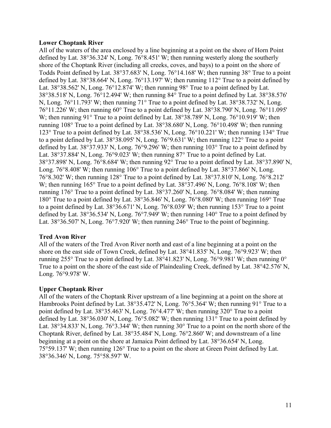#### **Lower Choptank River**

All of the waters of the area enclosed by a line beginning at a point on the shore of Horn Point defined by Lat. 38°36.324' N, Long. 76°8.451' W; then running westerly along the southerly shore of the Choptank River (including all creeks, coves, and bays) to a point on the shore of Todds Point defined by Lat. 38°37.683' N, Long. 76°14.168' W; then running 38° True to a point defined by Lat. 38°38.664' N, Long. 76°13.197' W; then running 112° True to a point defined by Lat. 38°38.562' N, Long. 76°12.874' W; then running 98° True to a point defined by Lat. 38°38.518' N, Long. 76°12.494' W; then running 84° True to a point defined by Lat. 38°38.576' N, Long. 76°11.793' W; then running 71° True to a point defined by Lat. 38°38.732' N, Long. 76°11.226' W; then running 60° True to a point defined by Lat. 38°38.790' N, Long. 76°11.095' W; then running 91° True to a point defined by Lat. 38°38.789' N, Long. 76°10.919' W; then running 108° True to a point defined by Lat. 38°38.680' N, Long. 76°10.498' W; then running 123° True to a point defined by Lat. 38°38.536' N, Long. 76°10.221' W; then running 134° True to a point defined by Lat. 38°38.095' N, Long. 76°9.631' W; then running 122° True to a point defined by Lat. 38°37.933' N, Long. 76°9.296' W; then running 103° True to a point defined by Lat. 38°37.884' N, Long. 76°9.023' W; then running 87° True to a point defined by Lat. 38°37.898' N, Long. 76°8.684' W; then running 92° True to a point defined by Lat. 38°37.890' N, Long. 76°8.408' W; then running 106° True to a point defined by Lat. 38°37.866' N, Long. 76°8.302' W; then running 128° True to a point defined by Lat. 38°37.810' N, Long. 76°8.212' W; then running 165° True to a point defined by Lat. 38°37.496' N, Long. 76°8.108' W; then running 176° True to a point defined by Lat. 38°37.260' N, Long. 76°8.084' W; then running 180° True to a point defined by Lat. 38°36.846' N, Long. 76°8.080' W; then running 169° True to a point defined by Lat. 38°36.671' N, Long. 76°8.039' W; then running 153° True to a point defined by Lat. 38°36.534' N, Long. 76°7.949' W; then running 140° True to a point defined by Lat. 38°36.507' N, Long. 76°7.920' W; then running 246° True to the point of beginning.

# **Tred Avon River**

All of the waters of the Tred Avon River north and east of a line beginning at a point on the shore on the east side of Town Creek, defined by Lat. 38°41.835' N, Long. 76°9.923' W; then running 255° True to a point defined by Lat. 38°41.823' N, Long. 76°9.981' W; then running  $0^{\circ}$ True to a point on the shore of the east side of Plaindealing Creek, defined by Lat. 38°42.576' N, Long. 76°9.978' W.

# **Upper Choptank River**

All of the waters of the Choptank River upstream of a line beginning at a point on the shore at Hambrooks Point defined by Lat. 38°35.472' N, Long. 76°5.364' W; then running 91° True to a point defined by Lat. 38°35.463' N, Long. 76°4.477' W; then running 320° True to a point defined by Lat. 38°36.030' N, Long. 76°5.082' W; then running 131° True to a point defined by Lat. 38°34.833' N, Long. 76°3.344' W; then running 30° True to a point on the north shore of the Choptank River, defined by Lat. 38°35.484' N, Long. 76°2.860' W; and downstream of a line beginning at a point on the shore at Jamaica Point defined by Lat. 38°36.654' N, Long. 75°59.137' W; then running 126° True to a point on the shore at Green Point defined by Lat. 38°36.346' N, Long. 75°58.597' W.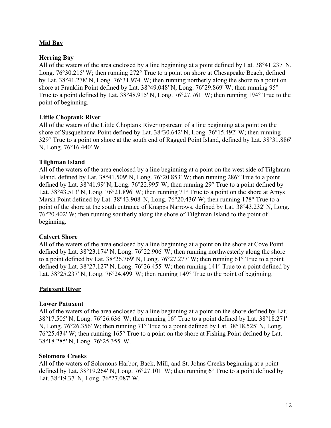# **Mid Bay**

## **Herring Bay**

All of the waters of the area enclosed by a line beginning at a point defined by Lat. 38°41.237' N, Long. 76°30.215' W; then running 272° True to a point on shore at Chesapeake Beach, defined by Lat. 38°41.278' N, Long. 76°31.974' W; then running northerly along the shore to a point on shore at Franklin Point defined by Lat. 38°49.048' N, Long. 76°29.869' W; then running 95° True to a point defined by Lat. 38°48.915' N, Long. 76°27.761' W; then running 194° True to the point of beginning.

## **Little Choptank River**

All of the waters of the Little Choptank River upstream of a line beginning at a point on the shore of Susquehanna Point defined by Lat. 38°30.642' N, Long. 76°15.492' W; then running 329° True to a point on shore at the south end of Ragged Point Island, defined by Lat. 38°31.886' N, Long. 76°16.440' W.

## **Tilghman Island**

All of the waters of the area enclosed by a line beginning at a point on the west side of Tilghman Island, defined by Lat. 38°41.509' N, Long. 76°20.853' W; then running 286° True to a point defined by Lat. 38°41.99' N, Long. 76°22.995' W; then running 29° True to a point defined by Lat.  $38^{\circ}43.513'$  N, Long.  $76^{\circ}21.896'$  W; then running  $71^{\circ}$  True to a point on the shore at Amys Marsh Point defined by Lat. 38°43.908' N, Long. 76°20.436' W; then running 178° True to a point of the shore at the south entrance of Knapps Narrows, defined by Lat. 38°43.232' N, Long. 76°20.402' W; then running southerly along the shore of Tilghman Island to the point of beginning.

#### **Calvert Shore**

All of the waters of the area enclosed by a line beginning at a point on the shore at Cove Point defined by Lat. 38°23.174' N, Long. 76°22.906' W; then running northwesterly along the shore to a point defined by Lat. 38°26.769' N, Long. 76°27.277' W; then running 61° True to a point defined by Lat. 38°27.127' N, Long. 76°26.455' W; then running 141° True to a point defined by Lat. 38°25.237' N, Long. 76°24.499' W; then running 149° True to the point of beginning.

# **Patuxent River**

#### **Lower Patuxent**

All of the waters of the area enclosed by a line beginning at a point on the shore defined by Lat. 38°17.505' N, Long. 76°26.636' W; then running 16° True to a point defined by Lat. 38°18.271' N, Long. 76°26.356' W; then running 71° True to a point defined by Lat. 38°18.525' N, Long. 76°25.434' W; then running 165° True to a point on the shore at Fishing Point defined by Lat. 38°18.285' N, Long. 76°25.355' W.

#### **Solomons Creeks**

All of the waters of Solomons Harbor, Back, Mill, and St. Johns Creeks beginning at a point defined by Lat. 38°19.264' N, Long. 76°27.101' W; then running 6° True to a point defined by Lat. 38°19.37' N, Long. 76°27.087' W.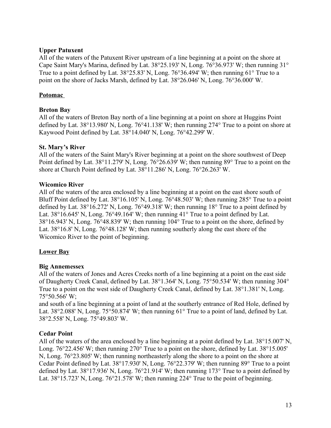## **Upper Patuxent**

All of the waters of the Patuxent River upstream of a line beginning at a point on the shore at Cape Saint Mary's Marina, defined by Lat. 38°25.193' N, Long. 76°36.973' W; then running 31° True to a point defined by Lat. 38°25.83' N, Long. 76°36.494' W; then running 61° True to a point on the shore of Jacks Marsh, defined by Lat. 38°26.046' N, Long. 76°36.000' W.

## **Potomac**

#### **Breton Bay**

All of the waters of Breton Bay north of a line beginning at a point on shore at Huggins Point defined by Lat. 38°13.980' N, Long. 76°41.138' W; then running 274° True to a point on shore at Kaywood Point defined by Lat. 38°14.040' N, Long. 76°42.299' W.

#### **St. Mary's River**

All of the waters of the Saint Mary's River beginning at a point on the shore southwest of Deep Point defined by Lat. 38°11.279' N, Long. 76°26.639' W; then running 89° True to a point on the shore at Church Point defined by Lat. 38°11.286' N, Long. 76°26.263' W.

## **Wicomico River**

All of the waters of the area enclosed by a line beginning at a point on the east shore south of Bluff Point defined by Lat. 38°16.105' N, Long. 76°48.503' W; then running 285° True to a point defined by Lat. 38°16.272' N, Long. 76°49.318' W; then running 18° True to a point defined by Lat. 38°16.645' N, Long. 76°49.164' W; then running 41° True to a point defined by Lat. 38°16.943' N, Long. 76°48.839' W; then running 104° True to a point on the shore, defined by Lat. 38°16.8' N, Long. 76°48.128' W; then running southerly along the east shore of the Wicomico River to the point of beginning.

# **Lower Bay**

# **Big Annemessex**

All of the waters of Jones and Acres Creeks north of a line beginning at a point on the east side of Daugherty Creek Canal, defined by Lat. 38°1.364' N, Long. 75°50.534' W; then running 304° True to a point on the west side of Daugherty Creek Canal, defined by Lat. 38°1.381' N, Long. 75°50.566' W;

and south of a line beginning at a point of land at the southerly entrance of Red Hole, defined by Lat. 38°2.088' N, Long. 75°50.874' W; then running 61° True to a point of land, defined by Lat. 38°2.558' N, Long. 75°49.803' W.

#### **Cedar Point**

All of the waters of the area enclosed by a line beginning at a point defined by Lat. 38°15.007' N, Long. 76°22.456' W; then running 270° True to a point on the shore, defined by Lat. 38°15.005' N, Long. 76°23.805' W; then running northeasterly along the shore to a point on the shore at Cedar Point defined by Lat. 38°17.930' N, Long. 76°22.379' W; then running 89° True to a point defined by Lat. 38°17.936' N, Long. 76°21.914' W; then running 173° True to a point defined by Lat. 38°15.723' N, Long. 76°21.578' W; then running 224° True to the point of beginning.